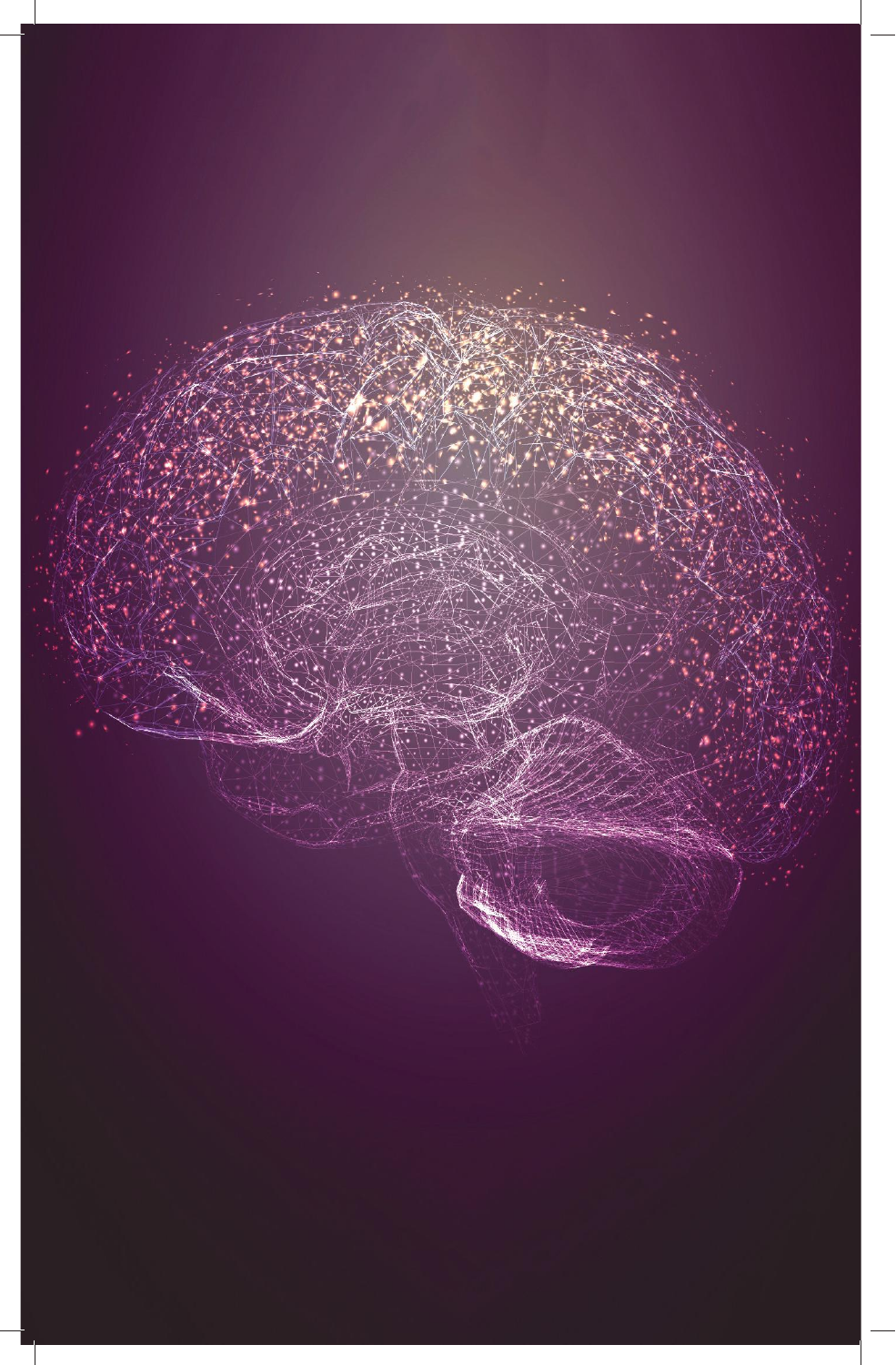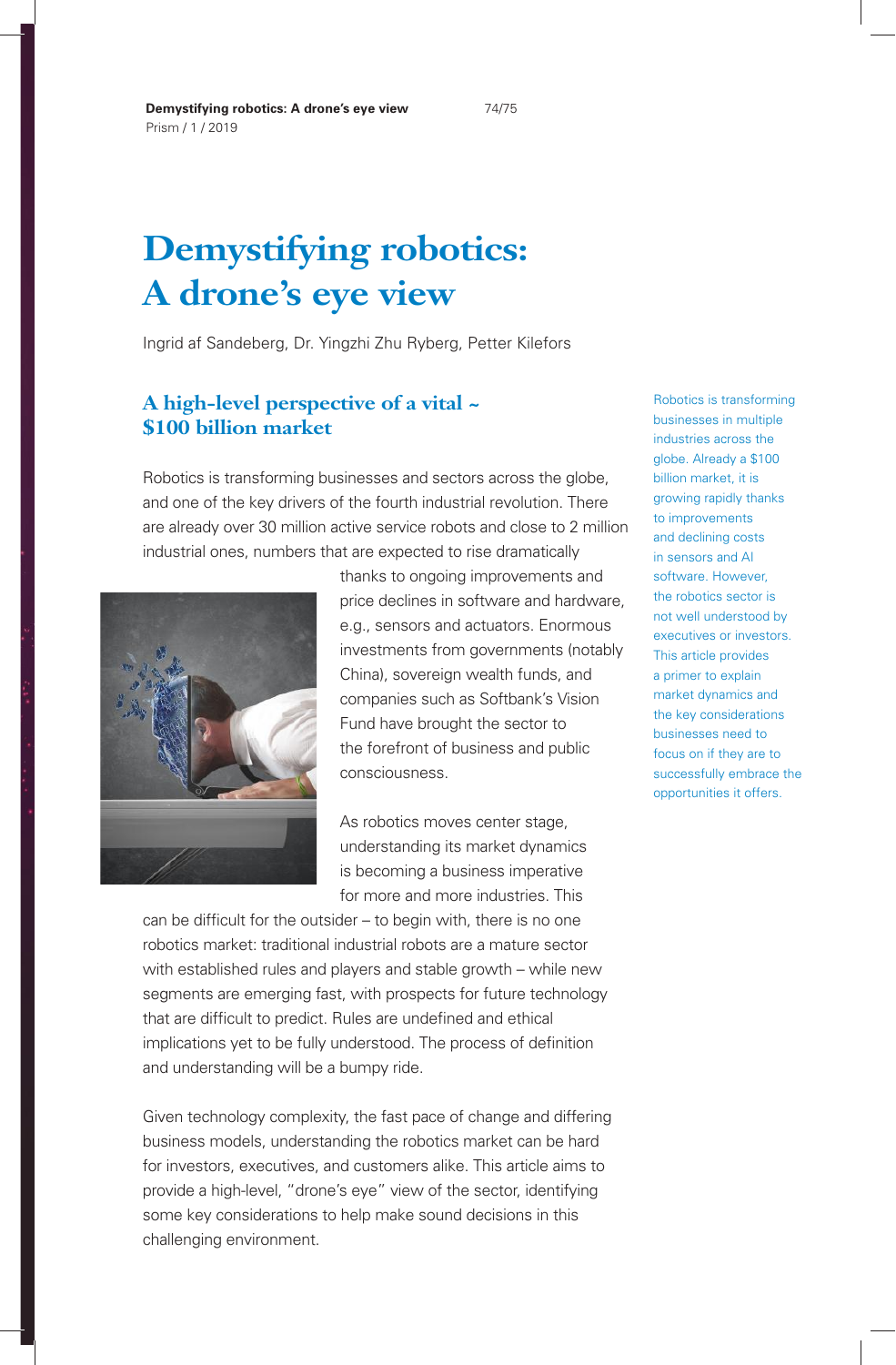# **Demystifying robotics: A drone's eye view**

Ingrid af Sandeberg, Dr. Yingzhi Zhu Ryberg, Petter Kilefors

# **A high-level perspective of a vital ~ \$100 billion market**

Robotics is transforming businesses and sectors across the globe, and one of the key drivers of the fourth industrial revolution. There are already over 30 million active service robots and close to 2 million industrial ones, numbers that are expected to rise dramatically



thanks to ongoing improvements and price declines in software and hardware, e.g., sensors and actuators. Enormous investments from governments (notably China), sovereign wealth funds, and companies such as Softbank's Vision Fund have brought the sector to the forefront of business and public consciousness.

As robotics moves center stage, understanding its market dynamics is becoming a business imperative for more and more industries. This

can be difficult for the outsider – to begin with, there is no one robotics market: traditional industrial robots are a mature sector with established rules and players and stable growth – while new segments are emerging fast, with prospects for future technology that are difficult to predict. Rules are undefined and ethical implications yet to be fully understood. The process of definition and understanding will be a bumpy ride.

Given technology complexity, the fast pace of change and differing business models, understanding the robotics market can be hard for investors, executives, and customers alike. This article aims to provide a high-level, "drone's eye" view of the sector, identifying some key considerations to help make sound decisions in this challenging environment.

Robotics is transforming businesses in multiple industries across the globe. Already a \$100 billion market, it is growing rapidly thanks to improvements and declining costs in sensors and AI software. However, the robotics sector is not well understood by executives or investors. This article provides a primer to explain market dynamics and the key considerations businesses need to focus on if they are to successfully embrace the opportunities it offers.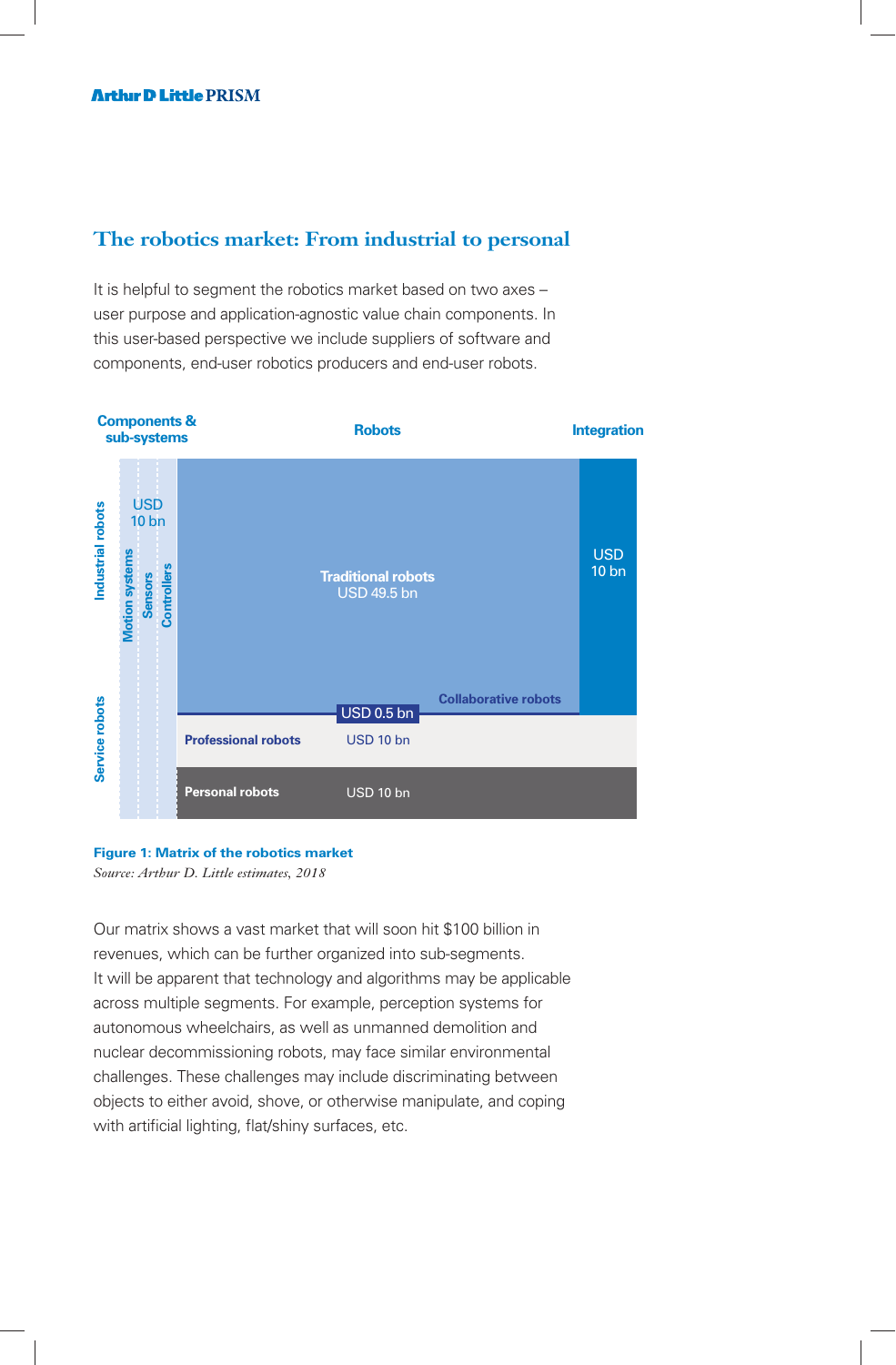# **The robotics market: From industrial to personal**

It is helpful to segment the robotics market based on two axes – user purpose and application-agnostic value chain components. In this user-based perspective we include suppliers of software and components, end-user robotics producers and end-user robots.



#### **Figure 1: Matrix of the robotics market**

*Source: Arthur D. Little estimates, 2018*

Our matrix shows a vast market that will soon hit \$100 billion in revenues, which can be further organized into sub-segments. It will be apparent that technology and algorithms may be applicable across multiple segments. For example, perception systems for autonomous wheelchairs, as well as unmanned demolition and nuclear decommissioning robots, may face similar environmental challenges. These challenges may include discriminating between objects to either avoid, shove, or otherwise manipulate, and coping with artificial lighting, flat/shiny surfaces, etc.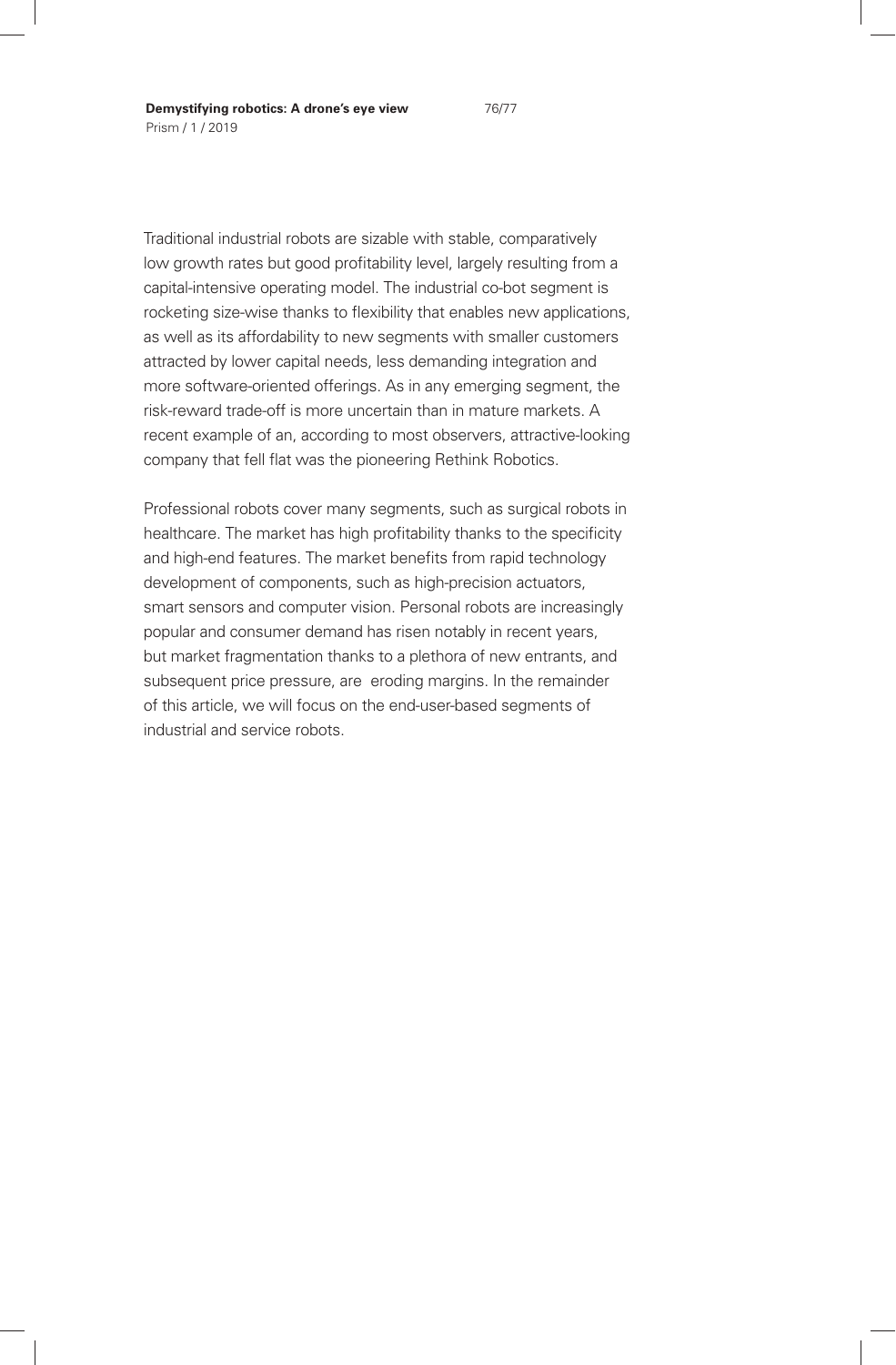Traditional industrial robots are sizable with stable, comparatively low growth rates but good profitability level, largely resulting from a capital-intensive operating model. The industrial co-bot segment is rocketing size-wise thanks to flexibility that enables new applications, as well as its affordability to new segments with smaller customers attracted by lower capital needs, less demanding integration and more software-oriented offerings. As in any emerging segment, the risk-reward trade-off is more uncertain than in mature markets. A recent example of an, according to most observers, attractive-looking company that fell flat was the pioneering Rethink Robotics.

Professional robots cover many segments, such as surgical robots in healthcare. The market has high profitability thanks to the specificity and high-end features. The market benefits from rapid technology development of components, such as high-precision actuators, smart sensors and computer vision. Personal robots are increasingly popular and consumer demand has risen notably in recent years, but market fragmentation thanks to a plethora of new entrants, and subsequent price pressure, are eroding margins. In the remainder of this article, we will focus on the end-user-based segments of industrial and service robots.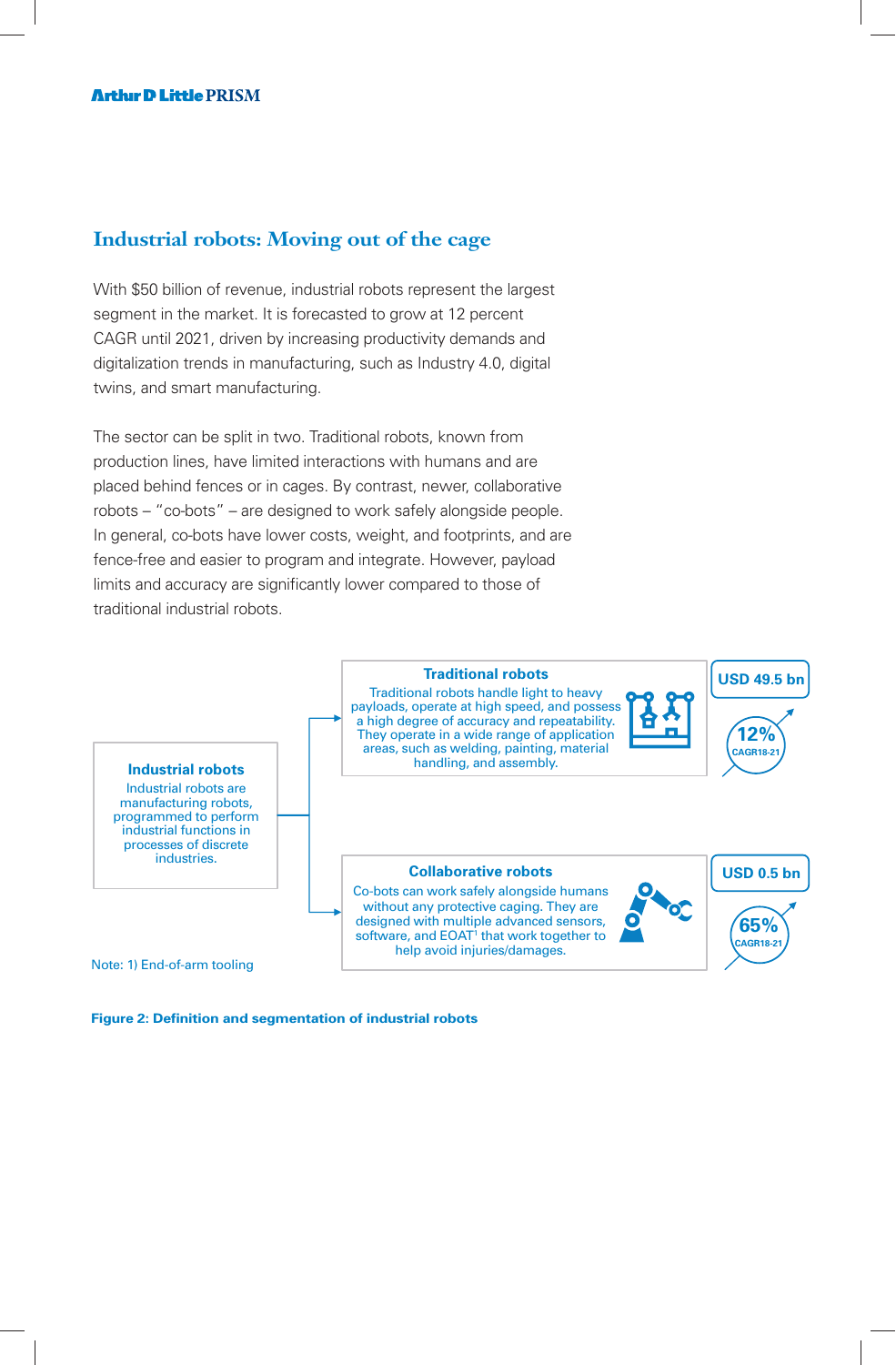# **Industrial robots: Moving out of the cage**

With \$50 billion of revenue, industrial robots represent the largest segment in the market. It is forecasted to grow at 12 percent CAGR until 2021, driven by increasing productivity demands and digitalization trends in manufacturing, such as Industry 4.0, digital twins, and smart manufacturing.

The sector can be split in two. Traditional robots, known from production lines, have limited interactions with humans and are placed behind fences or in cages. By contrast, newer, collaborative robots – "co-bots" – are designed to work safely alongside people. In general, co-bots have lower costs, weight, and footprints, and are fence-free and easier to program and integrate. However, payload limits and accuracy are significantly lower compared to those of traditional industrial robots.



**Figure 2: Definition and segmentation of industrial robots**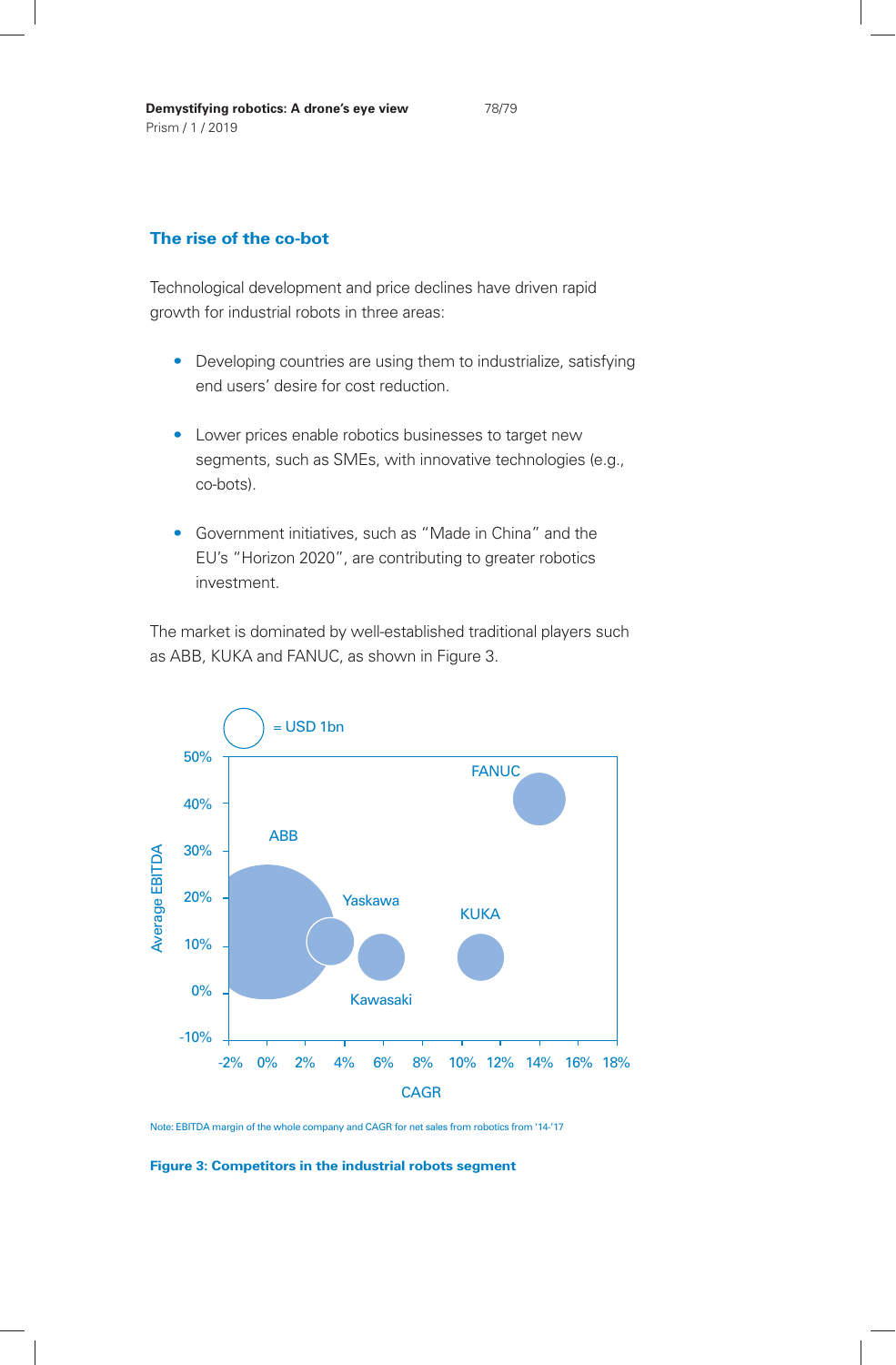## **The rise of the co-bot**

Technological development and price declines have driven rapid growth for industrial robots in three areas:

- Developing countries are using them to industrialize, satisfying end users' desire for cost reduction.
- Lower prices enable robotics businesses to target new segments, such as SMEs, with innovative technologies (e.g., co-bots).
- Government initiatives, such as "Made in China" and the EU's "Horizon 2020", are contributing to greater robotics investment.

The market is dominated by well-established traditional players such as ABB, KUKA and FANUC, as shown in Figure 3.



Note: EBITDA margin of the whole company and CAGR for net sales from robotics from '14-'17

**Figure 3: Competitors in the industrial robots segment**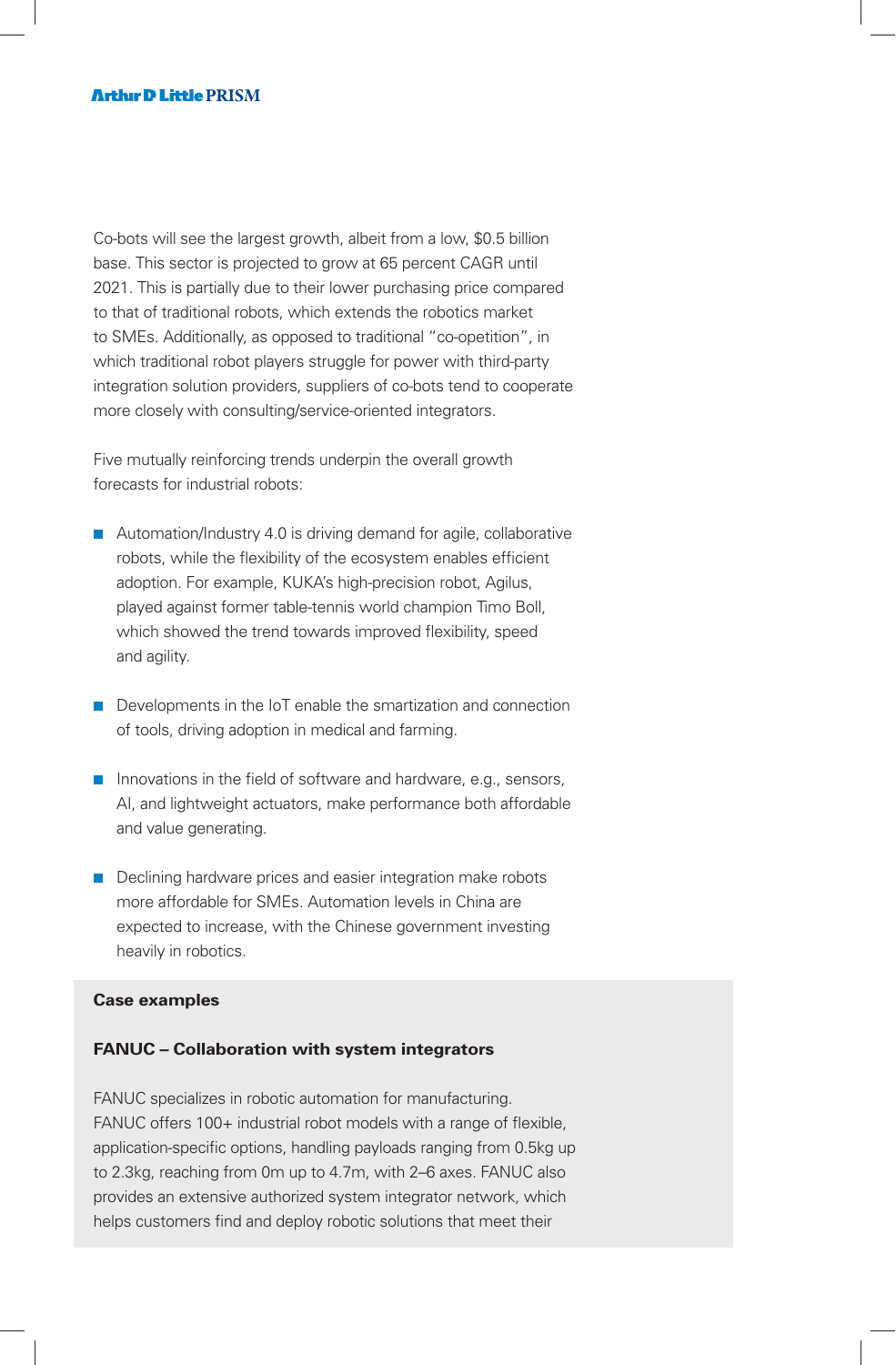Co-bots will see the largest growth, albeit from a low, \$0.5 billion base. This sector is projected to grow at 65 percent CAGR until 2021. This is partially due to their lower purchasing price compared to that of traditional robots, which extends the robotics market to SMEs. Additionally, as opposed to traditional "co-opetition", in which traditional robot players struggle for power with third-party integration solution providers, suppliers of co-bots tend to cooperate more closely with consulting/service-oriented integrators.

Five mutually reinforcing trends underpin the overall growth forecasts for industrial robots:

- Automation/Industry 4.0 is driving demand for agile, collaborative robots, while the flexibility of the ecosystem enables efficient adoption. For example, KUKA's high-precision robot, Agilus, played against former table-tennis world champion Timo Boll, which showed the trend towards improved flexibility, speed and agility.
- Developments in the IoT enable the smartization and connection of tools, driving adoption in medical and farming.
- Innovations in the field of software and hardware, e.g., sensors, AI, and lightweight actuators, make performance both affordable and value generating.
- Declining hardware prices and easier integration make robots more affordable for SMEs. Automation levels in China are expected to increase, with the Chinese government investing heavily in robotics.

#### **Case examples**

#### **FANUC – Collaboration with system integrators**

FANUC specializes in robotic automation for manufacturing. FANUC offers 100+ industrial robot models with a range of flexible, application-specific options, handling payloads ranging from 0.5kg up to 2.3kg, reaching from 0m up to 4.7m, with 2–6 axes. FANUC also provides an extensive authorized system integrator network, which helps customers find and deploy robotic solutions that meet their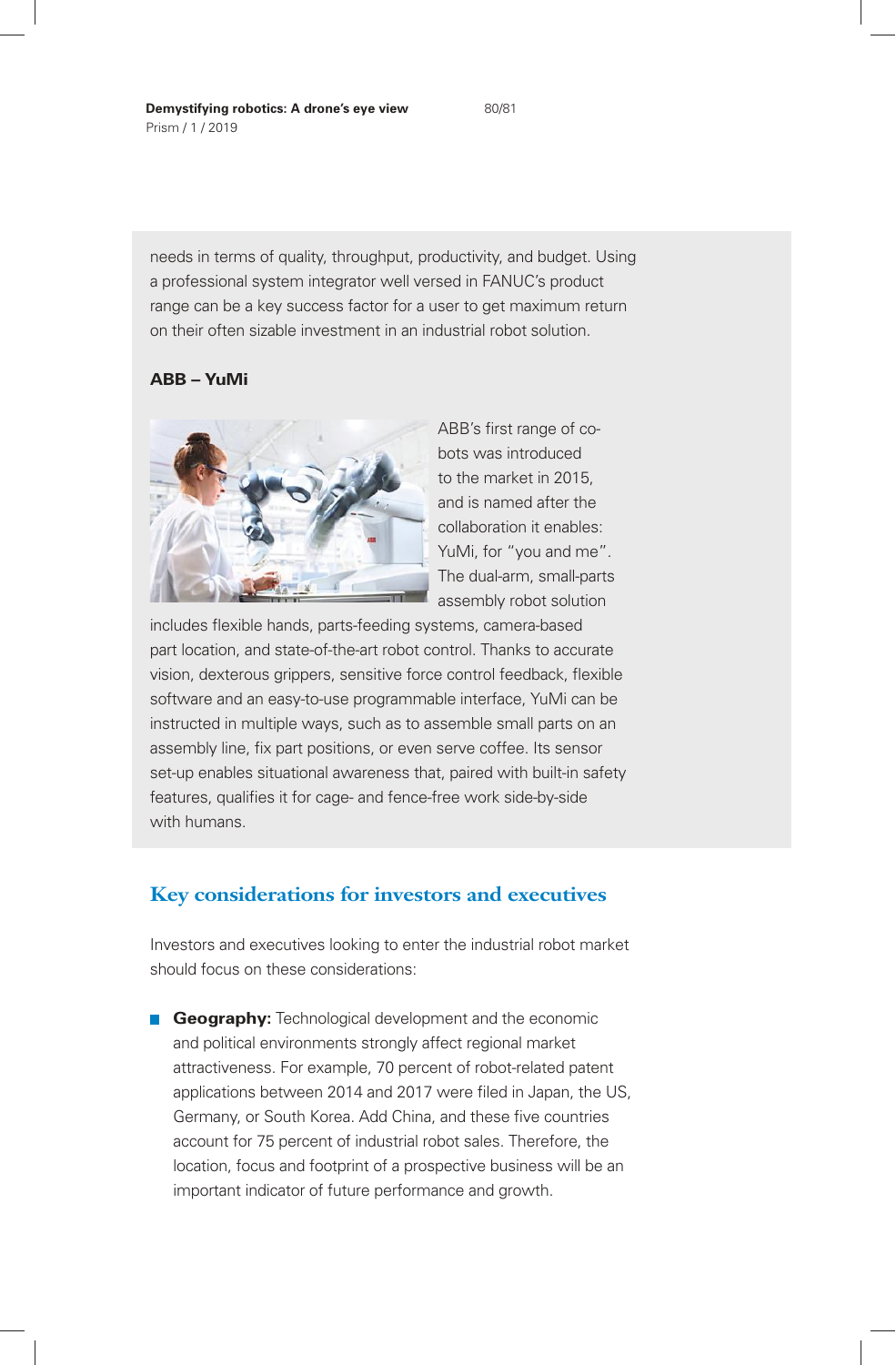needs in terms of quality, throughput, productivity, and budget. Using a professional system integrator well versed in FANUC's product range can be a key success factor for a user to get maximum return on their often sizable investment in an industrial robot solution.

## **ABB – YuMi**



ABB's first range of cobots was introduced to the market in 2015, and is named after the collaboration it enables: YuMi, for "you and me". The dual-arm, small-parts assembly robot solution

80/81

includes flexible hands, parts-feeding systems, camera-based part location, and state-of-the-art robot control. Thanks to accurate vision, dexterous grippers, sensitive force control feedback, flexible software and an easy-to-use programmable interface, YuMi can be instructed in multiple ways, such as to assemble small parts on an assembly line, fix part positions, or even serve coffee. Its sensor set-up enables situational awareness that, paired with built-in safety features, qualifies it for cage- and fence-free work side-by-side with humans.

# **Key considerations for investors and executives**

Investors and executives looking to enter the industrial robot market should focus on these considerations:

**Geography:** Technological development and the economic and political environments strongly affect regional market attractiveness. For example, 70 percent of robot-related patent applications between 2014 and 2017 were filed in Japan, the US, Germany, or South Korea. Add China, and these five countries account for 75 percent of industrial robot sales. Therefore, the location, focus and footprint of a prospective business will be an important indicator of future performance and growth.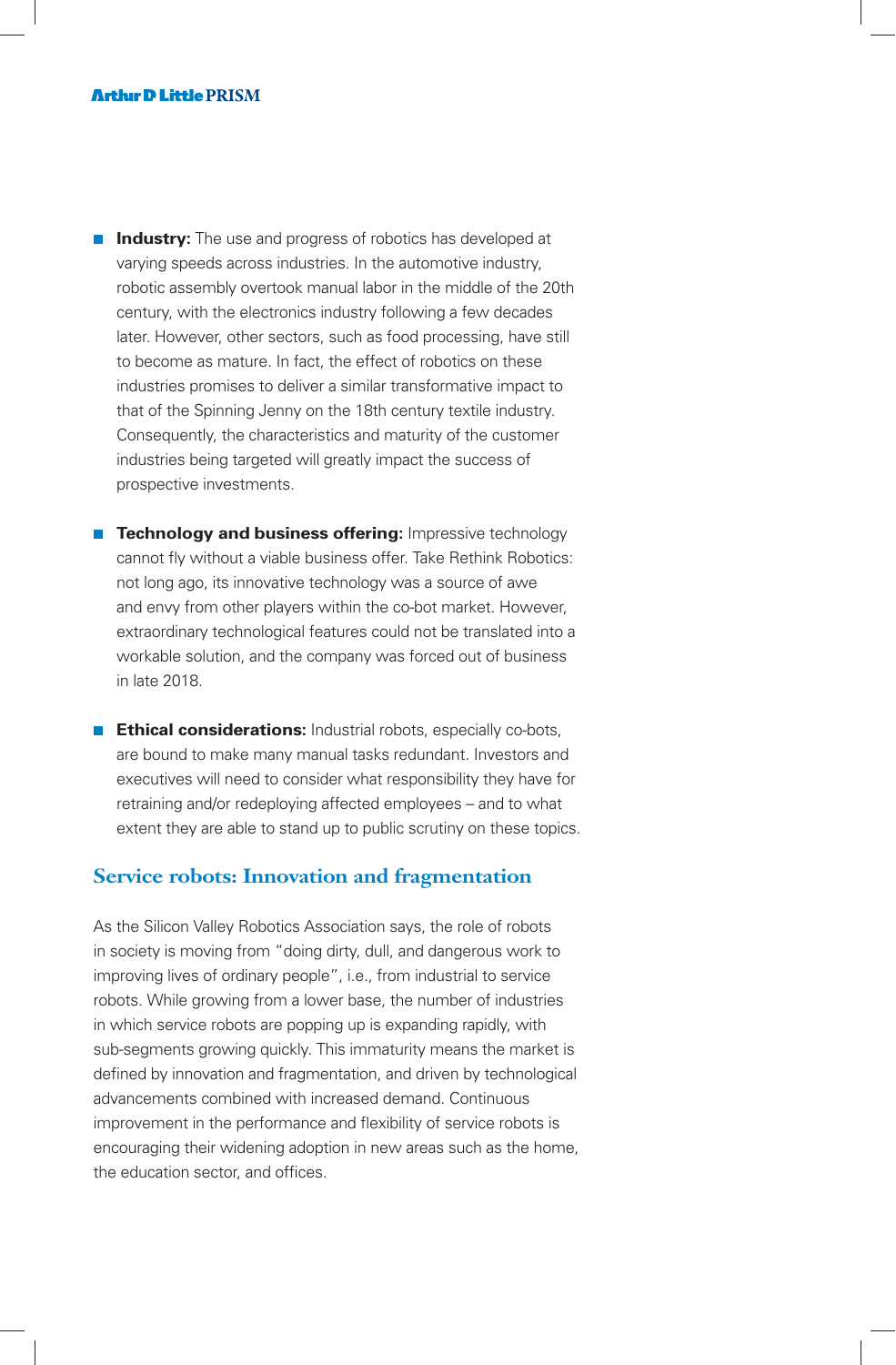- **Industry:** The use and progress of robotics has developed at  $\mathcal{L}^{\mathcal{A}}$ varying speeds across industries. In the automotive industry, robotic assembly overtook manual labor in the middle of the 20th century, with the electronics industry following a few decades later. However, other sectors, such as food processing, have still to become as mature. In fact, the effect of robotics on these industries promises to deliver a similar transformative impact to that of the Spinning Jenny on the 18th century textile industry. Consequently, the characteristics and maturity of the customer industries being targeted will greatly impact the success of prospective investments.
- **Technology and business offering:** Impressive technology cannot fly without a viable business offer. Take Rethink Robotics: not long ago, its innovative technology was a source of awe and envy from other players within the co-bot market. However, extraordinary technological features could not be translated into a workable solution, and the company was forced out of business in late 2018.
- **Ethical considerations:** Industrial robots, especially co-bots, are bound to make many manual tasks redundant. Investors and executives will need to consider what responsibility they have for retraining and/or redeploying affected employees – and to what extent they are able to stand up to public scrutiny on these topics.

## **Service robots: Innovation and fragmentation**

As the Silicon Valley Robotics Association says, the role of robots in society is moving from "doing dirty, dull, and dangerous work to improving lives of ordinary people", i.e., from industrial to service robots. While growing from a lower base, the number of industries in which service robots are popping up is expanding rapidly, with sub-segments growing quickly. This immaturity means the market is defined by innovation and fragmentation, and driven by technological advancements combined with increased demand. Continuous improvement in the performance and flexibility of service robots is encouraging their widening adoption in new areas such as the home, the education sector, and offices.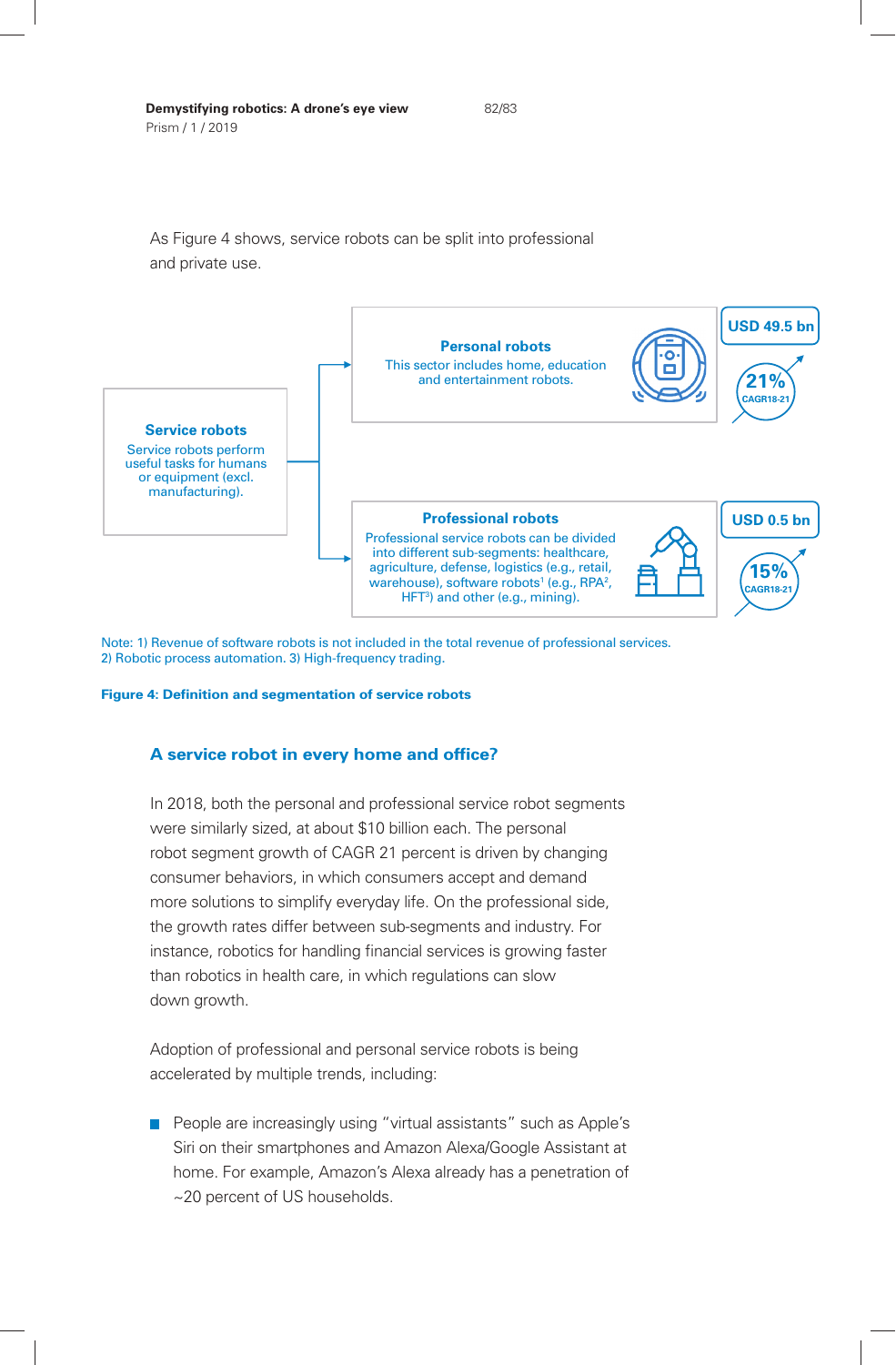As Figure 4 shows, service robots can be split into professional and private use.



Note: 1) Revenue of software robots is not included in the total revenue of professional services. 2) Robotic process automation. 3) High-frequency trading.

#### **Figure 4: Definition and segmentation of service robots**

## **A service robot in every home and office?**

In 2018, both the personal and professional service robot segments were similarly sized, at about \$10 billion each. The personal robot segment growth of CAGR 21 percent is driven by changing consumer behaviors, in which consumers accept and demand more solutions to simplify everyday life. On the professional side, the growth rates differ between sub-segments and industry. For instance, robotics for handling financial services is growing faster than robotics in health care, in which regulations can slow down growth.

Adoption of professional and personal service robots is being accelerated by multiple trends, including:

**People are increasingly using "virtual assistants" such as Apple's** Siri on their smartphones and Amazon Alexa/Google Assistant at home. For example, Amazon's Alexa already has a penetration of ~20 percent of US households.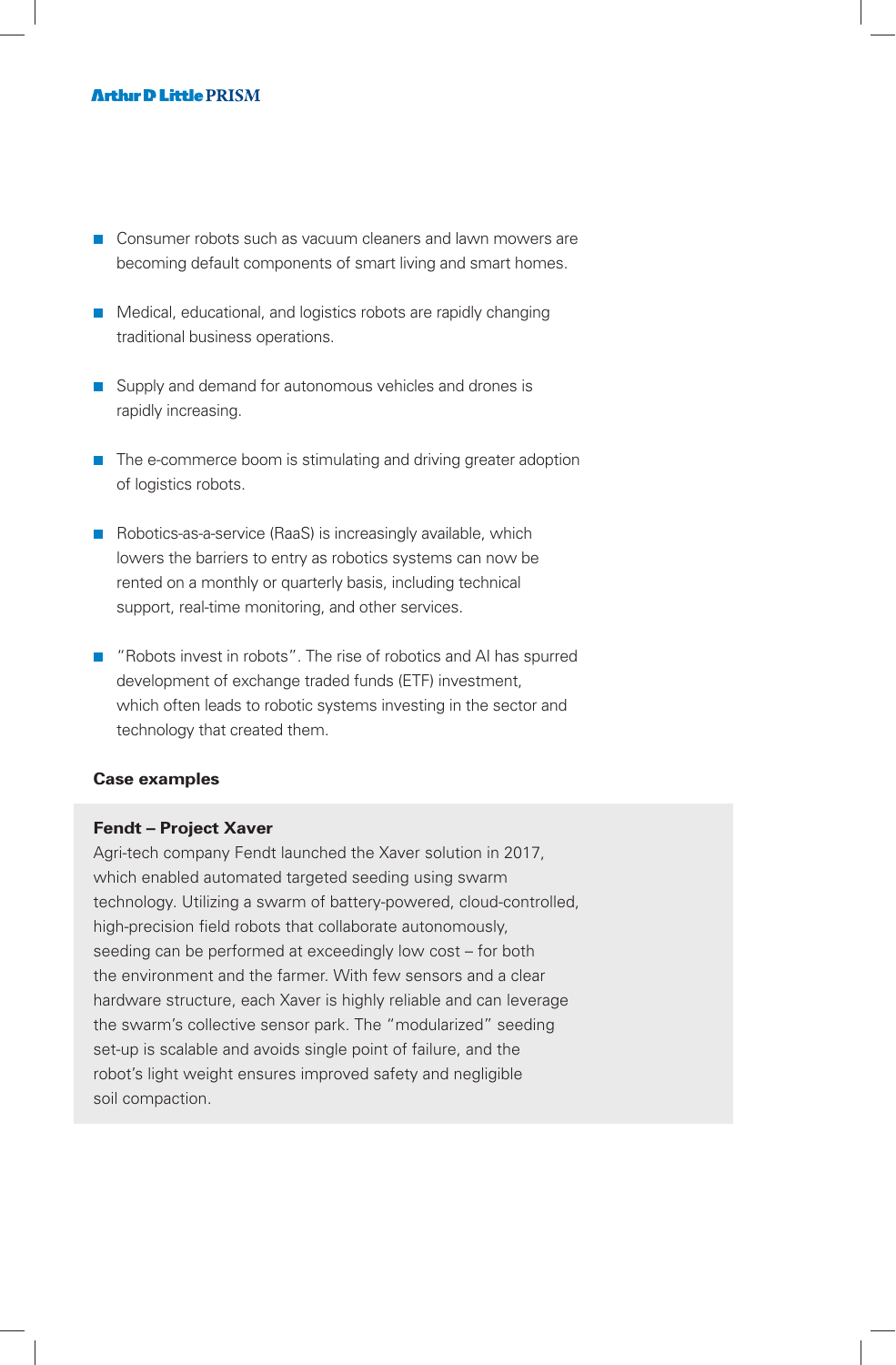- **Consumer robots such as vacuum cleaners and lawn mowers are** becoming default components of smart living and smart homes.
- Medical, educational, and logistics robots are rapidly changing traditional business operations.
- Supply and demand for autonomous vehicles and drones is rapidly increasing.
- The e-commerce boom is stimulating and driving greater adoption of logistics robots.
- Robotics-as-a-service (RaaS) is increasingly available, which lowers the barriers to entry as robotics systems can now be rented on a monthly or quarterly basis, including technical support, real-time monitoring, and other services.
- "Robots invest in robots". The rise of robotics and AI has spurred development of exchange traded funds (ETF) investment, which often leads to robotic systems investing in the sector and technology that created them.

#### **Case examples**

#### **Fendt – Project Xaver**

Agri-tech company Fendt launched the Xaver solution in 2017, which enabled automated targeted seeding using swarm technology. Utilizing a swarm of battery-powered, cloud-controlled, high-precision field robots that collaborate autonomously, seeding can be performed at exceedingly low cost – for both the environment and the farmer. With few sensors and a clear hardware structure, each Xaver is highly reliable and can leverage the swarm's collective sensor park. The "modularized" seeding set-up is scalable and avoids single point of failure, and the robot's light weight ensures improved safety and negligible soil compaction.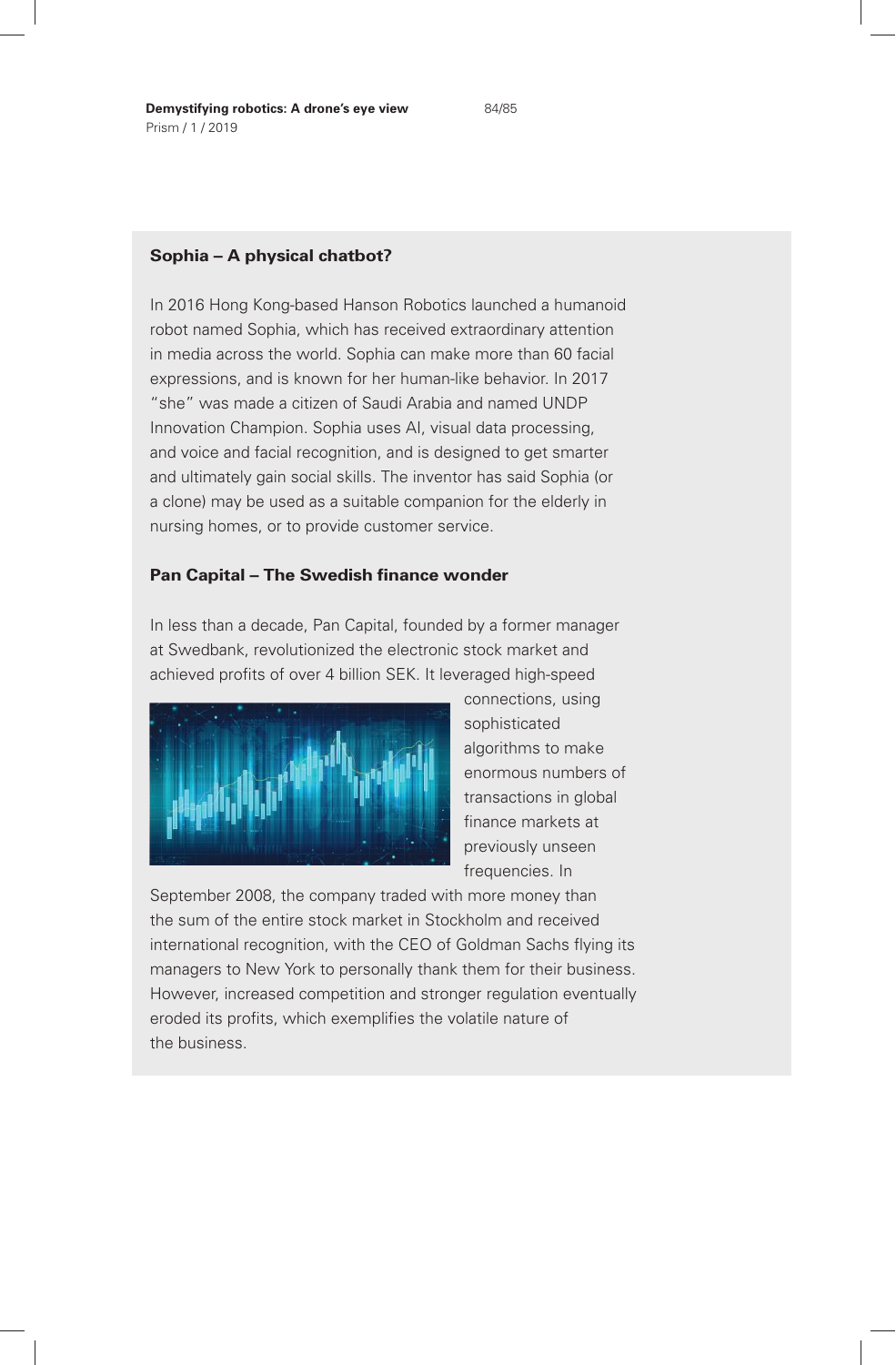# **Sophia – A physical chatbot?**

In 2016 Hong Kong-based Hanson Robotics launched a humanoid robot named Sophia, which has received extraordinary attention in media across the world. Sophia can make more than 60 facial expressions, and is known for her human-like behavior. In 2017 "she" was made a citizen of Saudi Arabia and named UNDP Innovation Champion. Sophia uses AI, visual data processing, and voice and facial recognition, and is designed to get smarter and ultimately gain social skills. The inventor has said Sophia (or a clone) may be used as a suitable companion for the elderly in nursing homes, or to provide customer service.

#### **Pan Capital – The Swedish finance wonder**

In less than a decade, Pan Capital, founded by a former manager at Swedbank, revolutionized the electronic stock market and achieved profits of over 4 billion SEK. It leveraged high-speed



connections, using sophisticated algorithms to make enormous numbers of transactions in global finance markets at previously unseen frequencies. In

September 2008, the company traded with more money than the sum of the entire stock market in Stockholm and received international recognition, with the CEO of Goldman Sachs flying its managers to New York to personally thank them for their business. However, increased competition and stronger regulation eventually eroded its profits, which exemplifies the volatile nature of the business.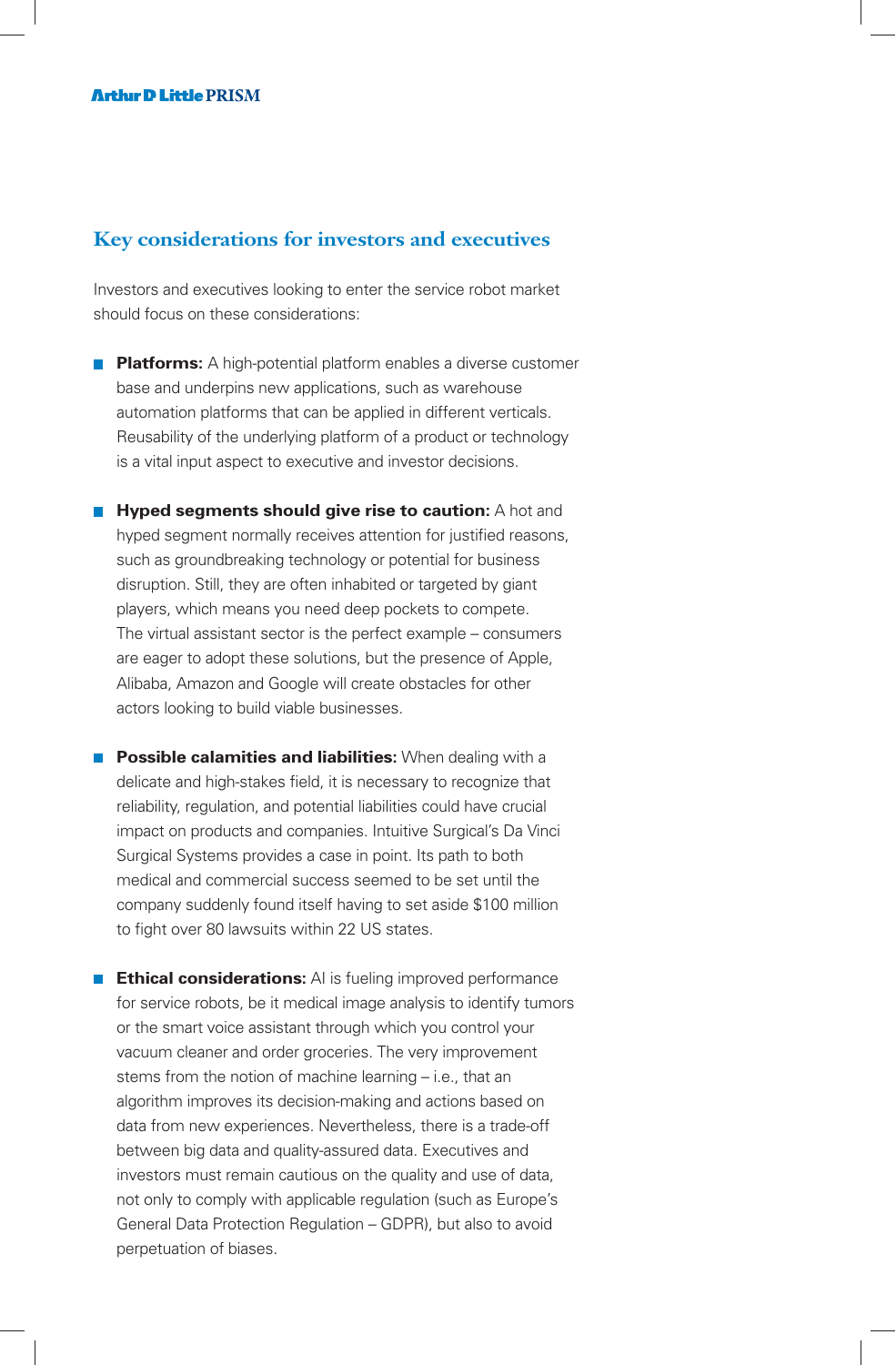# **Key considerations for investors and executives**

Investors and executives looking to enter the service robot market should focus on these considerations:

- **Platforms:** A high-potential platform enables a diverse customer base and underpins new applications, such as warehouse automation platforms that can be applied in different verticals. Reusability of the underlying platform of a product or technology is a vital input aspect to executive and investor decisions.
- **Hyped segments should give rise to caution:** A hot and hyped segment normally receives attention for justified reasons, such as groundbreaking technology or potential for business disruption. Still, they are often inhabited or targeted by giant players, which means you need deep pockets to compete. The virtual assistant sector is the perfect example – consumers are eager to adopt these solutions, but the presence of Apple, Alibaba, Amazon and Google will create obstacles for other actors looking to build viable businesses.
- **Possible calamities and liabilities:** When dealing with a delicate and high-stakes field, it is necessary to recognize that reliability, regulation, and potential liabilities could have crucial impact on products and companies. Intuitive Surgical's Da Vinci Surgical Systems provides a case in point. Its path to both medical and commercial success seemed to be set until the company suddenly found itself having to set aside \$100 million to fight over 80 lawsuits within 22 US states.
- **Ethical considerations:** AI is fueling improved performance for service robots, be it medical image analysis to identify tumors or the smart voice assistant through which you control your vacuum cleaner and order groceries. The very improvement stems from the notion of machine learning – i.e., that an algorithm improves its decision-making and actions based on data from new experiences. Nevertheless, there is a trade-off between big data and quality-assured data. Executives and investors must remain cautious on the quality and use of data, not only to comply with applicable regulation (such as Europe's General Data Protection Regulation – GDPR), but also to avoid perpetuation of biases.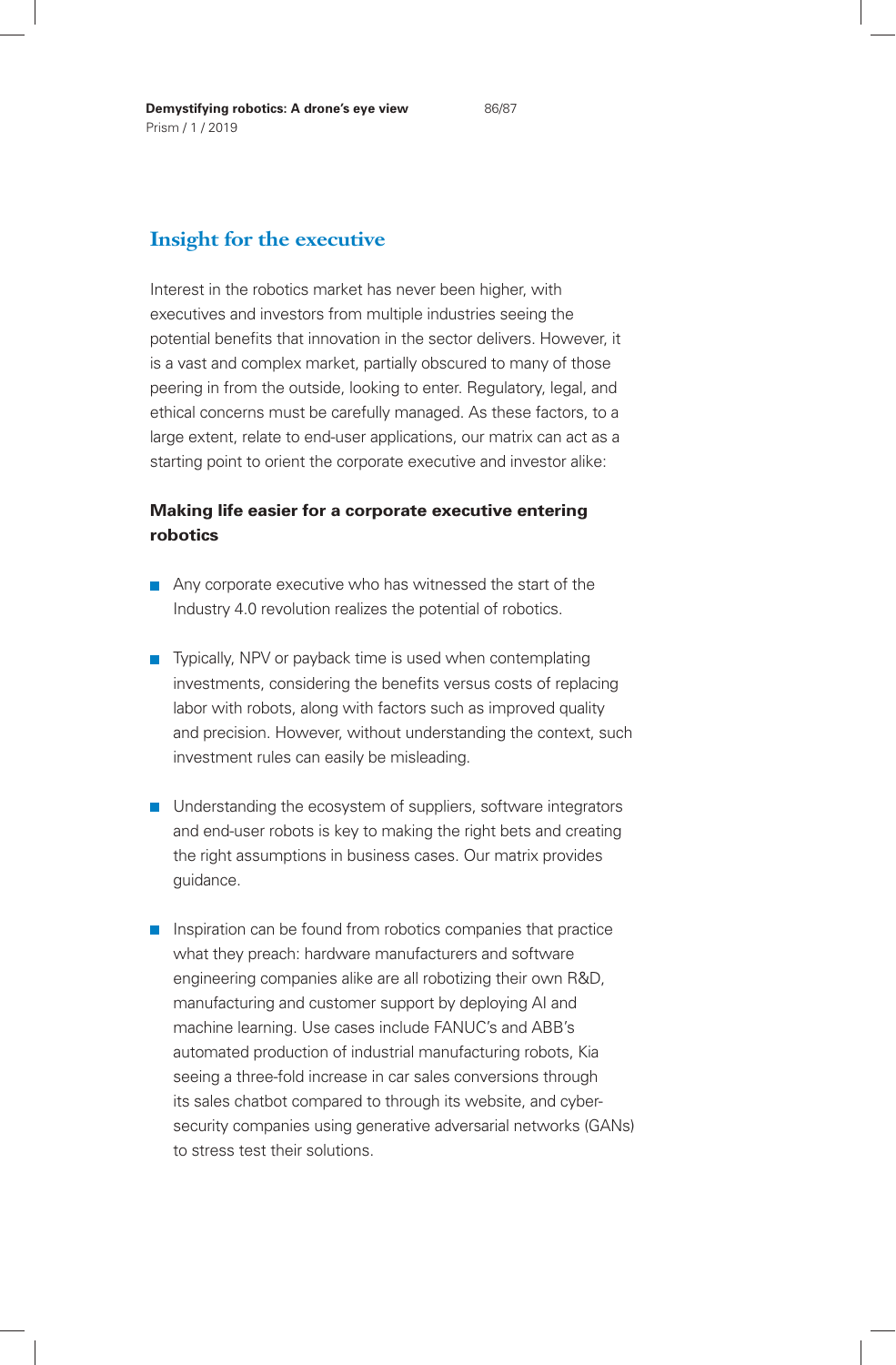# **Insight for the executive**

Interest in the robotics market has never been higher, with executives and investors from multiple industries seeing the potential benefits that innovation in the sector delivers. However, it is a vast and complex market, partially obscured to many of those peering in from the outside, looking to enter. Regulatory, legal, and ethical concerns must be carefully managed. As these factors, to a large extent, relate to end-user applications, our matrix can act as a starting point to orient the corporate executive and investor alike:

# **Making life easier for a corporate executive entering robotics**

- Any corporate executive who has witnessed the start of the Industry 4.0 revolution realizes the potential of robotics.
- $\blacksquare$  Typically, NPV or payback time is used when contemplating investments, considering the benefits versus costs of replacing labor with robots, along with factors such as improved quality and precision. However, without understanding the context, such investment rules can easily be misleading.
- **Understanding the ecosystem of suppliers, software integrators** and end-user robots is key to making the right bets and creating the right assumptions in business cases. Our matrix provides guidance.
- **Inspiration can be found from robotics companies that practice** what they preach: hardware manufacturers and software engineering companies alike are all robotizing their own R&D, manufacturing and customer support by deploying AI and machine learning. Use cases include FANUC's and ABB's automated production of industrial manufacturing robots, Kia seeing a three-fold increase in car sales conversions through its sales chatbot compared to through its website, and cybersecurity companies using generative adversarial networks (GANs) to stress test their solutions.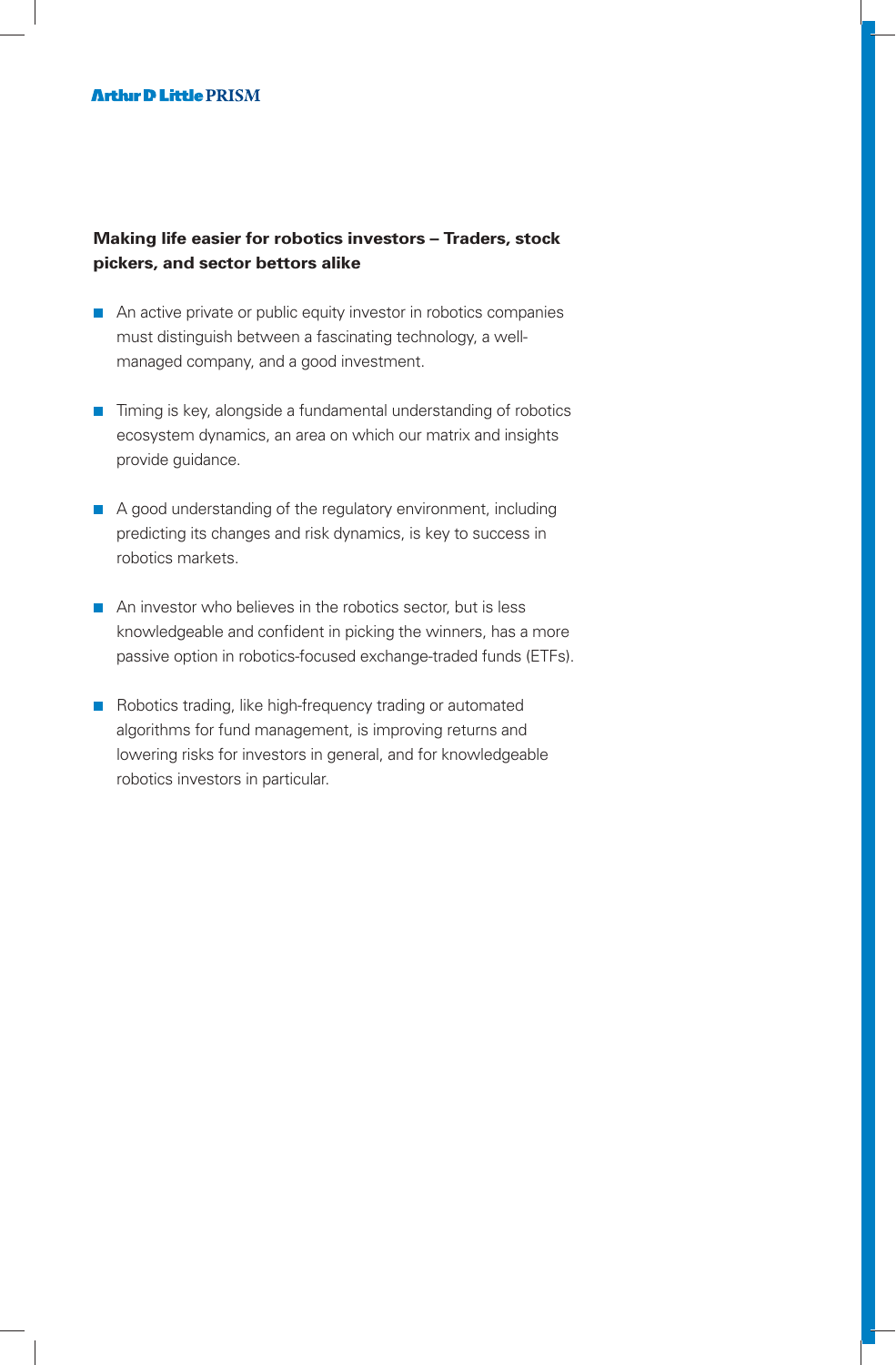# **Making life easier for robotics investors – Traders, stock pickers, and sector bettors alike**

- An active private or public equity investor in robotics companies must distinguish between a fascinating technology, a wellmanaged company, and a good investment.
- Timing is key, alongside a fundamental understanding of robotics ecosystem dynamics, an area on which our matrix and insights provide guidance.
- A good understanding of the regulatory environment, including predicting its changes and risk dynamics, is key to success in robotics markets.
- An investor who believes in the robotics sector, but is less knowledgeable and confident in picking the winners, has a more passive option in robotics-focused exchange-traded funds (ETFs).
- Robotics trading, like high-frequency trading or automated algorithms for fund management, is improving returns and lowering risks for investors in general, and for knowledgeable robotics investors in particular.